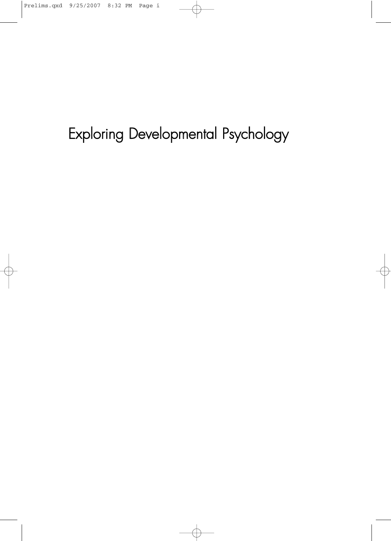# Exploring Developmental Psychology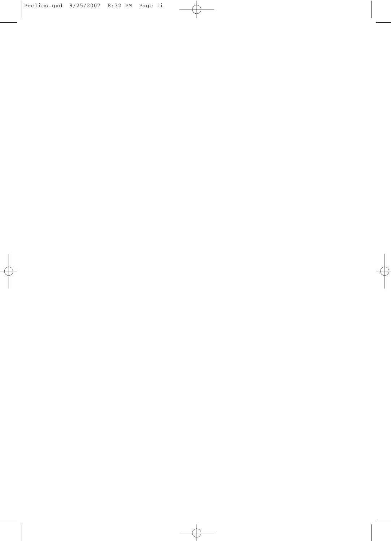$\oplus$ 

 $\bigoplus$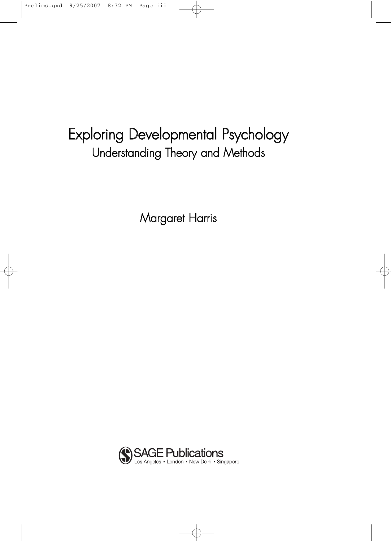# Exploring Developmental Psychology Understanding Theory and Methods

Margaret Harris

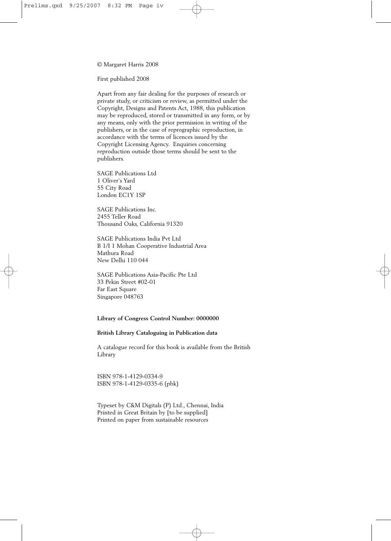#### © Margaret Harris 2008

First published 2008

Apart from any fair dealing for the purposes of research or private study, or criticism or review, as permitted under the Copyright, Designs and Patents Act, 1988, this publication may be reproduced, stored or transmitted in any form, or by any means, only with the prior permission in writing of the publishers, or in the case of reprographic reproduction, in accordance with the terms of licences issued by the Copyright Licensing Agency. Enquiries concerning reproduction outside those terms should be sent to the publishers.

SAGE Publications Ltd 1 Oliver's Yard 55 City Road London EC1Y 1SP

SAGE Publications Inc. 2455 Teller Road Thousand Oaks, California 91320

SAGE Publications India Pvt Ltd B 1/I 1 Mohan Cooperative Industrial Area Mathura Road New Delhi 110 044

SAGE Publications Asia-Pacific Pte Ltd 33 Pekin Street #02-01 Far East Square Singapore 048763

#### **Library of Congress Control Number: 0000000**

#### **British Library Cataloguing in Publication data**

A catalogue record for this book is available from the British Library

ISBN 978-1-4129-0334-9 ISBN 978-1-4129-0335-6 (pbk)

Typeset by C&M Digitals (P) Ltd., Chennai, India Printed in Great Britain by [to be supplied] Printed on paper from sustainable resources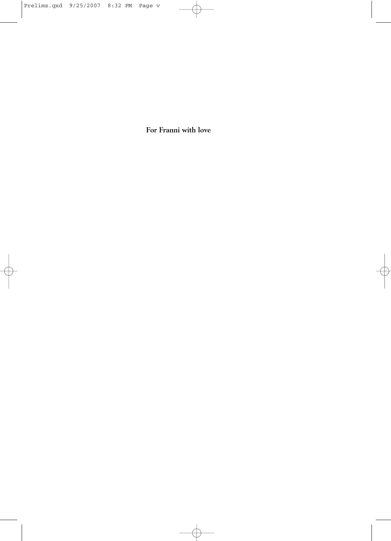**For Franni with love**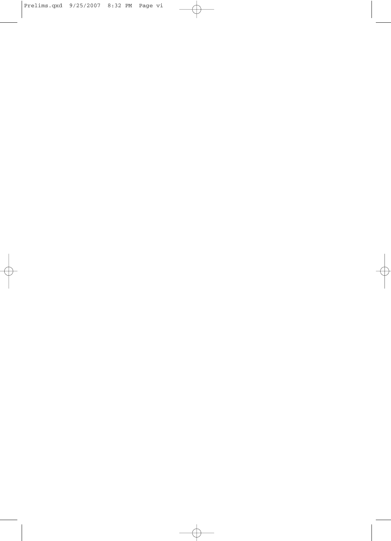$\oplus$ 

 $\oplus$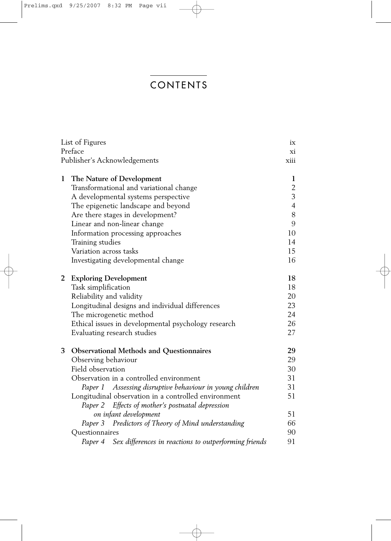# CONTENTS

| List of Figures<br>Preface<br>Publisher's Acknowledgements |                                                                      | ix<br>Xİ.<br>xiii              |
|------------------------------------------------------------|----------------------------------------------------------------------|--------------------------------|
| 1                                                          | The Nature of Development<br>Transformational and variational change | $\mathbf{l}$<br>$\overline{c}$ |
|                                                            | A developmental systems perspective                                  | $\overline{3}$                 |
|                                                            | The epigenetic landscape and beyond                                  | $\overline{4}$                 |
|                                                            | Are there stages in development?                                     | 8                              |
|                                                            | Linear and non-linear change                                         | 9                              |
|                                                            | Information processing approaches                                    | 10                             |
|                                                            | Training studies                                                     | 14                             |
|                                                            | Variation across tasks                                               | 15                             |
|                                                            | Investigating developmental change                                   | 16                             |
|                                                            |                                                                      |                                |
| $2^{\circ}$                                                | <b>Exploring Development</b>                                         | 18                             |
|                                                            | Task simplification                                                  | 18                             |
|                                                            | Reliability and validity                                             | 20                             |
|                                                            | Longitudinal designs and individual differences                      | 23                             |
|                                                            | The microgenetic method                                              | 24                             |
|                                                            | Ethical issues in developmental psychology research                  | 26                             |
|                                                            | Evaluating research studies                                          | 27                             |
|                                                            |                                                                      |                                |
| 3 <sup>1</sup>                                             | <b>Observational Methods and Questionnaires</b>                      | 29                             |
|                                                            | Observing behaviour                                                  | 29                             |
|                                                            | Field observation                                                    | 30                             |
|                                                            | Observation in a controlled environment                              | 31                             |
|                                                            | Paper 1 Assessing disruptive behaviour in young children             | 31                             |
|                                                            | Longitudinal observation in a controlled environment                 | 51                             |
|                                                            | Paper 2 Effects of mother's postnatal depression                     |                                |
|                                                            | on infant development                                                | 51                             |
|                                                            | Paper 3 Predictors of Theory of Mind understanding                   | 66                             |
|                                                            | Questionnaires                                                       | 90                             |
|                                                            | Paper 4 Sex differences in reactions to outperforming friends        | 91                             |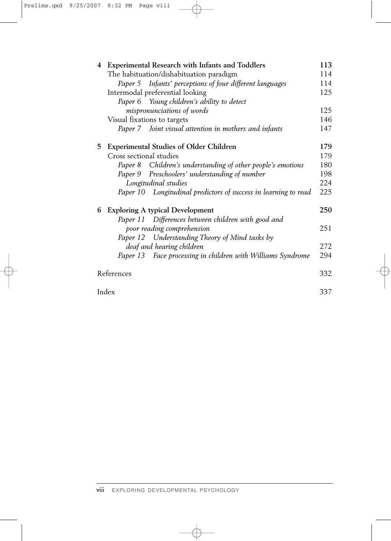| 4  | <b>Experimental Research with Infants and Toddlers</b>          | 113 |
|----|-----------------------------------------------------------------|-----|
|    | The habituation/dishabituation paradigm                         | 114 |
|    | Paper 5 Infants' perceptions of four different languages        | 114 |
|    | Intermodal preferential looking                                 | 125 |
|    | Paper 6 Young children's ability to detect                      |     |
|    | mispronunciations of words                                      | 125 |
|    | Visual fixations to targets                                     | 146 |
|    | Paper 7 Joint visual attention in mothers and infants           | 147 |
| 5. | <b>Experimental Studies of Older Children</b>                   | 179 |
|    | Cross sectional studies                                         | 179 |
|    | Paper 8 Children's understanding of other people's emotions     | 180 |
|    | Preschoolers' understanding of number<br>Paper 9                | 198 |
|    | Longitudinal studies                                            | 224 |
|    | Paper 10 Longitudinal predictors of success in learning to read | 225 |
| 6  | <b>Exploring A typical Development</b>                          | 250 |
|    | Paper 11 Differences between children with good and             |     |
|    | poor reading comprehension                                      | 251 |
|    | Paper 12 Understanding Theory of Mind tasks by                  |     |
|    | deaf and hearing children                                       | 272 |
|    | Paper 13 Face processing in children with Williams Syndrome     | 294 |
|    | References                                                      | 332 |
|    | Index                                                           | 337 |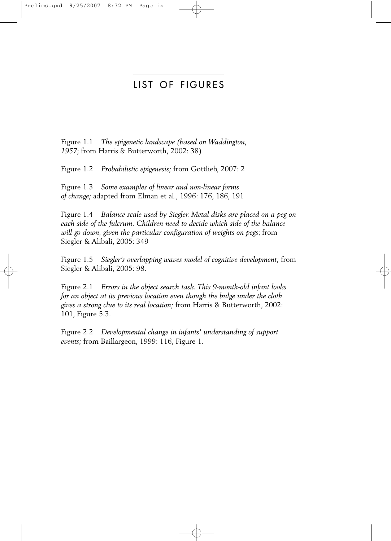### LIST OF FIGURES

Figure 1.1 *The epigenetic landscape (based on Waddington, 1957*; from Harris & Butterworth, 2002: 38)

Figure 1.2 *Probabilistic epigenesis;* from Gottlieb, 2007: 2

Figure 1.3 *Some examples of linear and non-linear forms of change;* adapted from Elman et al., 1996: 176, 186, 191

Figure 1.4 *Balance scale used by Siegler. Metal disks are placed on a peg on each side of the fulcrum. Children need to decide which side of the balance will go down, given the particular configuration of weights on pegs*; from Siegler & Alibali, 2005: 349

Figure 1.5 *Siegler's overlapping waves model of cognitive development;* from Siegler & Alibali, 2005: 98.

Figure 2.1 *Errors in the object search task. This 9-month-old infant looks for an object at its previous location even though the bulge under the cloth gives a strong clue to its real location;* from Harris & Butterworth, 2002: 101, Figure 5.3.

Figure 2.2 *Developmental change in infants' understanding of support events;* from Baillargeon, 1999: 116, Figure 1.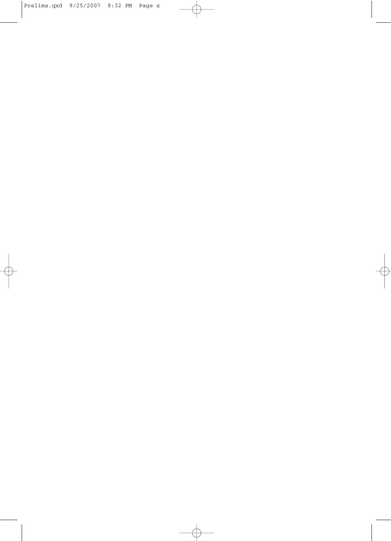$\oplus$ 

 $\oplus$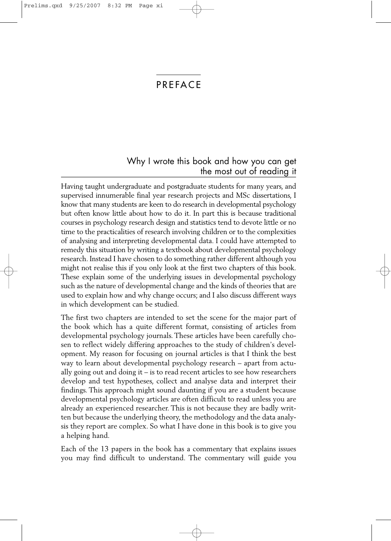### PREFACE

### Why I wrote this book and how you can get the most out of reading it

Having taught undergraduate and postgraduate students for many years, and supervised innumerable final year research projects and MSc dissertations, I know that many students are keen to do research in developmental psychology but often know little about how to do it. In part this is because traditional courses in psychology research design and statistics tend to devote little or no time to the practicalities of research involving children or to the complexities of analysing and interpreting developmental data. I could have attempted to remedy this situation by writing a textbook about developmental psychology research. Instead I have chosen to do something rather different although you might not realise this if you only look at the first two chapters of this book. These explain some of the underlying issues in developmental psychology such as the nature of developmental change and the kinds of theories that are used to explain how and why change occurs; and I also discuss different ways in which development can be studied.

The first two chapters are intended to set the scene for the major part of the book which has a quite different format, consisting of articles from developmental psychology journals. These articles have been carefully chosen to reflect widely differing approaches to the study of children's development. My reason for focusing on journal articles is that I think the best way to learn about developmental psychology research – apart from actually going out and doing it – is to read recent articles to see how researchers develop and test hypotheses, collect and analyse data and interpret their findings. This approach might sound daunting if you are a student because developmental psychology articles are often difficult to read unless you are already an experienced researcher. This is not because they are badly written but because the underlying theory, the methodology and the data analysis they report are complex. So what I have done in this book is to give you a helping hand.

Each of the 13 papers in the book has a commentary that explains issues you may find difficult to understand. The commentary will guide you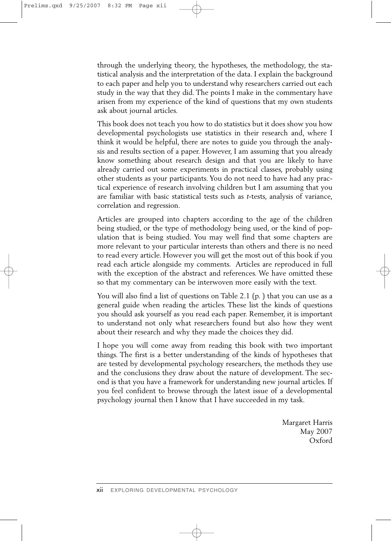through the underlying theory, the hypotheses, the methodology, the statistical analysis and the interpretation of the data. I explain the background to each paper and help you to understand why researchers carried out each study in the way that they did. The points I make in the commentary have arisen from my experience of the kind of questions that my own students ask about journal articles.

This book does not teach you how to do statistics but it does show you how developmental psychologists use statistics in their research and, where I think it would be helpful, there are notes to guide you through the analysis and results section of a paper. However, I am assuming that you already know something about research design and that you are likely to have already carried out some experiments in practical classes, probably using other students as your participants. You do not need to have had any practical experience of research involving children but I am assuming that you are familiar with basic statistical tests such as *t*-tests, analysis of variance, correlation and regression.

Articles are grouped into chapters according to the age of the children being studied, or the type of methodology being used, or the kind of population that is being studied. You may well find that some chapters are more relevant to your particular interests than others and there is no need to read every article. However you will get the most out of this book if you read each article alongside my comments. Articles are reproduced in full with the exception of the abstract and references. We have omitted these so that my commentary can be interwoven more easily with the text.

You will also find a list of questions on Table 2.1 (p. ) that you can use as a general guide when reading the articles. These list the kinds of questions you should ask yourself as you read each paper. Remember, it is important to understand not only what researchers found but also how they went about their research and why they made the choices they did.

I hope you will come away from reading this book with two important things. The first is a better understanding of the kinds of hypotheses that are tested by developmental psychology researchers, the methods they use and the conclusions they draw about the nature of development. The second is that you have a framework for understanding new journal articles. If you feel confident to browse through the latest issue of a developmental psychology journal then I know that I have succeeded in my task.

> Margaret Harris May 2007 Oxford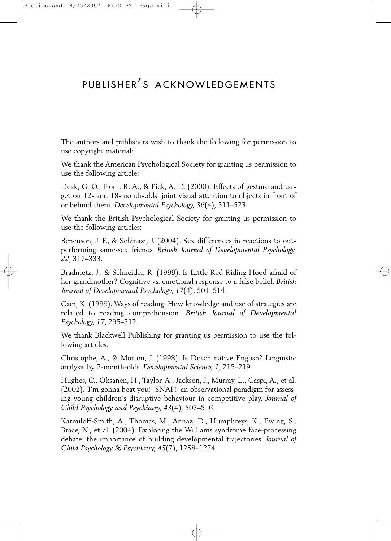## PUBLISHER'S ACKNOWLEDGEMENTS

The authors and publishers wish to thank the following for permission to use copyright material:

We thank the American Psychological Society for granting us permission to use the following article:

Deak, G. O., Flom, R. A., & Pick, A. D. (2000). Effects of gesture and target on 12- and 18-month-olds' joint visual attention to objects in front of or behind them. *Developmental Psychology, 36*(4), 511–523.

We thank the British Psychological Society for granting us permission to use the following articles:

Benenson, J. F., & Schinazi, J. (2004). Sex differences in reactions to outperforming same-sex friends. *British Journal of Developmental Psychology, 22*, 317–333.

Bradmetz, J., & Schneider, R. (1999). Is Little Red Riding Hood afraid of her grandmother? Cognitive vs. emotional response to a false belief. *British Journal of Developmental Psychology, 17*(4), 501–514.

Cain, K. (1999). Ways of reading: How knowledge and use of strategies are related to reading comprehension. *British Journal of Developmental Psychology, 17*, 295–312.

We thank Blackwell Publishing for granting us permission to use the following articles:

Christophe, A., & Morton, J. (1998). Is Dutch native English? Linguistic analysis by 2-month-olds. *Developmental Science, 1*, 215–219.

Hughes, C., Oksanen, H., Taylor, A., Jackson, J., Murray, L., Caspi, A., et al. (2002). 'I'm gonna beat you!' SNAP!: an observational paradigm for assessing young children's disruptive behaviour in competitive play. *Journal of Child Psychology and Psychiatry, 43*(4), 507–516.

Karmiloff-Smith, A., Thomas, M., Annaz, D., Humphreys, K., Ewing, S., Brace, N., et al. (2004). Exploring the Williams syndrome face-processing debate: the importance of building developmental trajectories. *Journal of Child Psychology & Psychiatry, 45*(7), 1258–1274.